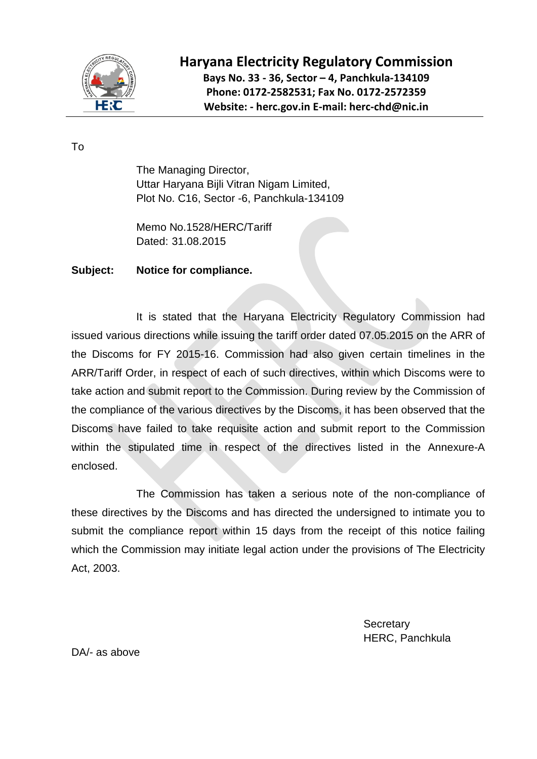

## **Haryana Electricity Regulatory Commission Bays No. 33 - 36, Sector – 4, Panchkula-134109 Phone: 0172-2582531; Fax No. 0172-2572359 Website: - herc.gov.in E-mail: herc-chd@nic.in**

To

The Managing Director, Uttar Haryana Bijli Vitran Nigam Limited, Plot No. C16, Sector -6, Panchkula-134109

Memo No.1528/HERC/Tariff Dated: 31.08.2015

## **Subject: Notice for compliance.**

It is stated that the Haryana Electricity Regulatory Commission had issued various directions while issuing the tariff order dated 07.05.2015 on the ARR of the Discoms for FY 2015-16. Commission had also given certain timelines in the ARR/Tariff Order, in respect of each of such directives, within which Discoms were to take action and submit report to the Commission. During review by the Commission of the compliance of the various directives by the Discoms, it has been observed that the Discoms have failed to take requisite action and submit report to the Commission within the stipulated time in respect of the directives listed in the Annexure-A enclosed.

The Commission has taken a serious note of the non-compliance of these directives by the Discoms and has directed the undersigned to intimate you to submit the compliance report within 15 days from the receipt of this notice failing which the Commission may initiate legal action under the provisions of The Electricity Act, 2003.

> **Secretary** HERC, Panchkula

DA/- as above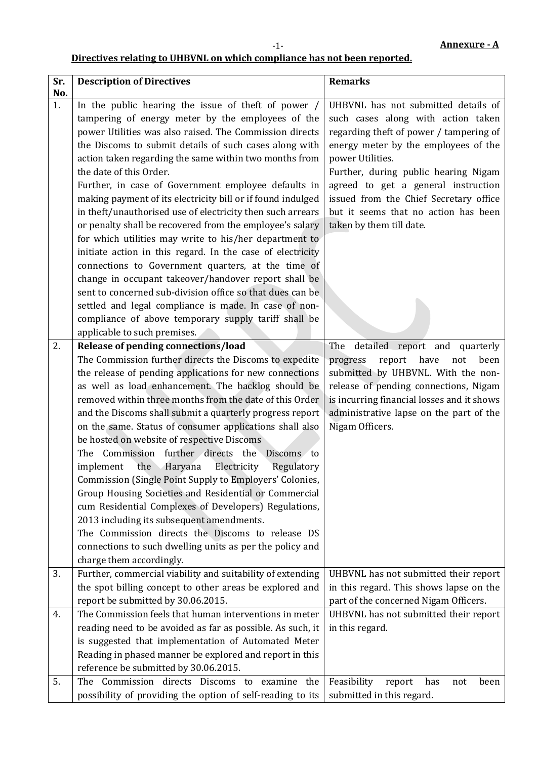## **Directives relating to UHBVNL on which compliance has not been reported.**

-1-

| Sr. | <b>Description of Directives</b>                            | <b>Remarks</b>                              |
|-----|-------------------------------------------------------------|---------------------------------------------|
| No. |                                                             |                                             |
| 1.  | In the public hearing the issue of theft of power /         | UHBVNL has not submitted details of         |
|     | tampering of energy meter by the employees of the           | such cases along with action taken          |
|     | power Utilities was also raised. The Commission directs     | regarding theft of power / tampering of     |
|     | the Discoms to submit details of such cases along with      | energy meter by the employees of the        |
|     | action taken regarding the same within two months from      | power Utilities.                            |
|     | the date of this Order.                                     | Further, during public hearing Nigam        |
|     | Further, in case of Government employee defaults in         | agreed to get a general instruction         |
|     | making payment of its electricity bill or if found indulged | issued from the Chief Secretary office      |
|     | in theft/unauthorised use of electricity then such arrears  | but it seems that no action has been        |
|     | or penalty shall be recovered from the employee's salary    | taken by them till date.                    |
|     | for which utilities may write to his/her department to      |                                             |
|     | initiate action in this regard. In the case of electricity  |                                             |
|     | connections to Government quarters, at the time of          |                                             |
|     | change in occupant takeover/handover report shall be        |                                             |
|     | sent to concerned sub-division office so that dues can be   |                                             |
|     | settled and legal compliance is made. In case of non-       |                                             |
|     | compliance of above temporary supply tariff shall be        |                                             |
|     | applicable to such premises.                                |                                             |
| 2.  | Release of pending connections/load                         | The detailed report and quarterly           |
|     | The Commission further directs the Discoms to expedite      | have<br>progress<br>report<br>been<br>not   |
|     | the release of pending applications for new connections     | submitted by UHBVNL. With the non-          |
|     | as well as load enhancement. The backlog should be          | release of pending connections, Nigam       |
|     | removed within three months from the date of this Order     | is incurring financial losses and it shows  |
|     | and the Discoms shall submit a quarterly progress report    | administrative lapse on the part of the     |
|     | on the same. Status of consumer applications shall also     | Nigam Officers.                             |
|     | be hosted on website of respective Discoms                  |                                             |
|     | The Commission further directs the Discoms to               |                                             |
|     | the Haryana<br>Electricity<br>Regulatory<br>implement       |                                             |
|     | Commission (Single Point Supply to Employers' Colonies,     |                                             |
|     | Group Housing Societies and Residential or Commercial       |                                             |
|     | cum Residential Complexes of Developers) Regulations,       |                                             |
|     | 2013 including its subsequent amendments.                   |                                             |
|     | The Commission directs the Discoms to release DS            |                                             |
|     | connections to such dwelling units as per the policy and    |                                             |
|     | charge them accordingly.                                    |                                             |
| 3.  | Further, commercial viability and suitability of extending  | UHBVNL has not submitted their report       |
|     | the spot billing concept to other areas be explored and     | in this regard. This shows lapse on the     |
|     | report be submitted by 30.06.2015.                          | part of the concerned Nigam Officers.       |
| 4.  | The Commission feels that human interventions in meter      | UHBVNL has not submitted their report       |
|     | reading need to be avoided as far as possible. As such, it  | in this regard.                             |
|     | is suggested that implementation of Automated Meter         |                                             |
|     | Reading in phased manner be explored and report in this     |                                             |
|     | reference be submitted by 30.06.2015.                       |                                             |
| 5.  | Commission directs Discoms to<br>examine<br>The<br>the      | Feasibility<br>report<br>has<br>been<br>not |
|     | possibility of providing the option of self-reading to its  | submitted in this regard.                   |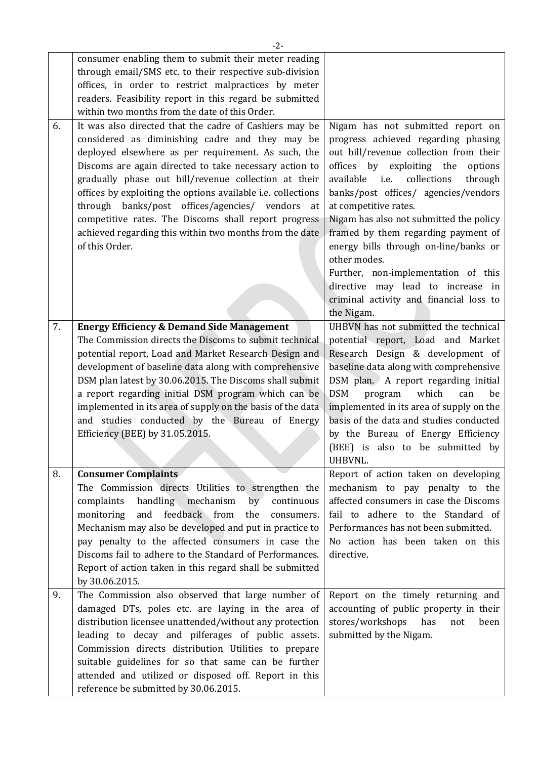|    | $-2-$                                                                                                                                                                                                                                                                                                                                                                                                                                                                                                                                         |                                                                                                                                                                                                                                                                                                                                                                                                                                                                                                                                                            |
|----|-----------------------------------------------------------------------------------------------------------------------------------------------------------------------------------------------------------------------------------------------------------------------------------------------------------------------------------------------------------------------------------------------------------------------------------------------------------------------------------------------------------------------------------------------|------------------------------------------------------------------------------------------------------------------------------------------------------------------------------------------------------------------------------------------------------------------------------------------------------------------------------------------------------------------------------------------------------------------------------------------------------------------------------------------------------------------------------------------------------------|
|    | consumer enabling them to submit their meter reading<br>through email/SMS etc. to their respective sub-division<br>offices, in order to restrict malpractices by meter<br>readers. Feasibility report in this regard be submitted<br>within two months from the date of this Order.                                                                                                                                                                                                                                                           |                                                                                                                                                                                                                                                                                                                                                                                                                                                                                                                                                            |
| 6. | It was also directed that the cadre of Cashiers may be<br>considered as diminishing cadre and they may be<br>deployed elsewhere as per requirement. As such, the<br>Discoms are again directed to take necessary action to<br>gradually phase out bill/revenue collection at their<br>offices by exploiting the options available i.e. collections<br>through banks/post offices/agencies/ vendors<br>at<br>competitive rates. The Discoms shall report progress<br>achieved regarding this within two months from the date<br>of this Order. | Nigam has not submitted report on<br>progress achieved regarding phasing<br>out bill/revenue collection from their<br>offices by exploiting the<br>options<br>i.e.<br>collections<br>available<br>through<br>banks/post offices/ agencies/vendors<br>at competitive rates.<br>Nigam has also not submitted the policy<br>framed by them regarding payment of<br>energy bills through on-line/banks or<br>other modes.<br>Further, non-implementation of this<br>directive may lead to increase in<br>criminal activity and financial loss to<br>the Nigam. |
| 7. | <b>Energy Efficiency &amp; Demand Side Management</b><br>The Commission directs the Discoms to submit technical<br>potential report, Load and Market Research Design and<br>development of baseline data along with comprehensive<br>DSM plan latest by 30.06.2015. The Discoms shall submit<br>a report regarding initial DSM program which can be<br>implemented in its area of supply on the basis of the data<br>and studies conducted by the Bureau of Energy<br>Efficiency (BEE) by 31.05.2015.                                         | UHBVN has not submitted the technical<br>potential report, Load and Market<br>Research Design & development of<br>baseline data along with comprehensive<br>DSM plan. A report regarding initial<br><b>DSM</b><br>which<br>program<br>can<br>be<br>implemented in its area of supply on the<br>basis of the data and studies conducted<br>by the Bureau of Energy Efficiency<br>(BEE) is also to be submitted by<br>UHBVNL.                                                                                                                                |
| 8. | <b>Consumer Complaints</b>                                                                                                                                                                                                                                                                                                                                                                                                                                                                                                                    | Report of action taken on developing                                                                                                                                                                                                                                                                                                                                                                                                                                                                                                                       |
|    | The Commission directs Utilities to strengthen the<br>handling mechanism<br>complaints<br>by<br>continuous<br>and feedback from<br>the<br>monitoring<br>consumers.<br>Mechanism may also be developed and put in practice to<br>pay penalty to the affected consumers in case the<br>Discoms fail to adhere to the Standard of Performances.<br>Report of action taken in this regard shall be submitted<br>by 30.06.2015.                                                                                                                    | mechanism to pay penalty to the<br>affected consumers in case the Discoms<br>fail to adhere to the Standard of<br>Performances has not been submitted.<br>No action has been taken on this<br>directive.                                                                                                                                                                                                                                                                                                                                                   |
| 9. | The Commission also observed that large number of<br>damaged DTs, poles etc. are laying in the area of<br>distribution licensee unattended/without any protection<br>leading to decay and pilferages of public assets.<br>Commission directs distribution Utilities to prepare<br>suitable guidelines for so that same can be further<br>attended and utilized or disposed off. Report in this<br>reference be submitted by 30.06.2015.                                                                                                       | Report on the timely returning and<br>accounting of public property in their<br>stores/workshops<br>has<br>not<br>been<br>submitted by the Nigam.                                                                                                                                                                                                                                                                                                                                                                                                          |